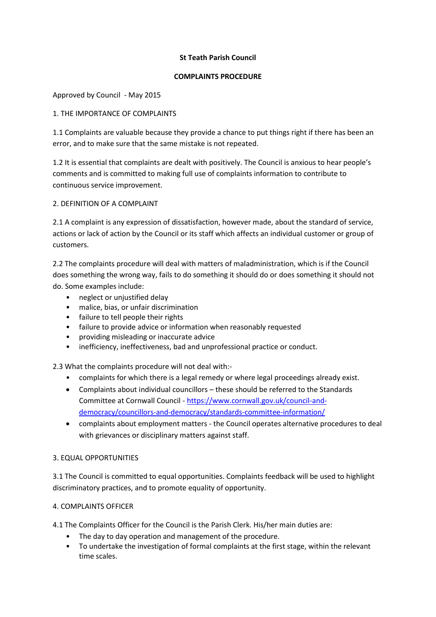## **St Teath Parish Council**

### **COMPLAINTS PROCEDURE**

# Approved by Council - May 2015

## 1. THE IMPORTANCE OF COMPLAINTS

1.1 Complaints are valuable because they provide a chance to put things right if there has been an error, and to make sure that the same mistake is not repeated.

1.2 It is essential that complaints are dealt with positively. The Council is anxious to hear people's comments and is committed to making full use of complaints information to contribute to continuous service improvement.

### 2. DEFINITION OF A COMPLAINT

2.1 A complaint is any expression of dissatisfaction, however made, about the standard of service, actions or lack of action by the Council or its staff which affects an individual customer or group of customers.

2.2 The complaints procedure will deal with matters of maladministration, which is if the Council does something the wrong way, fails to do something it should do or does something it should not do. Some examples include:

- neglect or unjustified delay
- malice, bias, or unfair discrimination
- failure to tell people their rights
- failure to provide advice or information when reasonably requested
- providing misleading or inaccurate advice
- inefficiency, ineffectiveness, bad and unprofessional practice or conduct.

2.3 What the complaints procedure will not deal with:-

- complaints for which there is a legal remedy or where legal proceedings already exist.
- Complaints about individual councillors these should be referred to the Standards Committee at Cornwall Council - [https://www.cornwall.gov.uk/council-and](https://www.cornwall.gov.uk/council-and-democracy/councillors-and-democracy/standards-committee-information/)[democracy/councillors-and-democracy/standards-committee-information/](https://www.cornwall.gov.uk/council-and-democracy/councillors-and-democracy/standards-committee-information/)
- complaints about employment matters the Council operates alternative procedures to deal with grievances or disciplinary matters against staff.

### 3. EQUAL OPPORTUNITIES

3.1 The Council is committed to equal opportunities. Complaints feedback will be used to highlight discriminatory practices, and to promote equality of opportunity.

# 4. COMPLAINTS OFFICER

4.1 The Complaints Officer for the Council is the Parish Clerk. His/her main duties are:

- The day to day operation and management of the procedure.
- To undertake the investigation of formal complaints at the first stage, within the relevant time scales.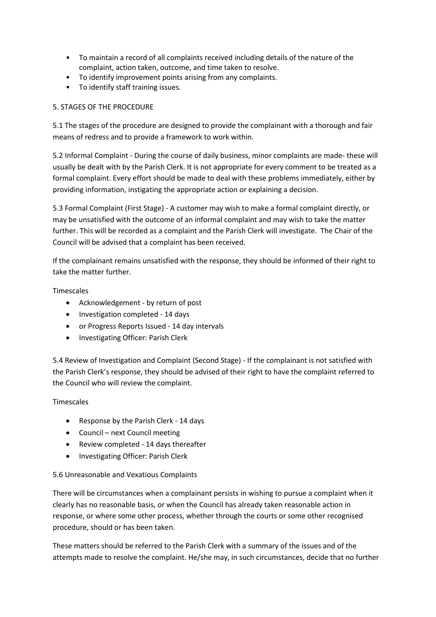- To maintain a record of all complaints received including details of the nature of the complaint, action taken, outcome, and time taken to resolve.
- To identify improvement points arising from any complaints.
- To identify staff training issues.

# 5. STAGES OF THE PROCEDURE

5.1 The stages of the procedure are designed to provide the complainant with a thorough and fair means of redress and to provide a framework to work within.

5.2 Informal Complaint - During the course of daily business, minor complaints are made- these will usually be dealt with by the Parish Clerk. It is not appropriate for every comment to be treated as a formal complaint. Every effort should be made to deal with these problems immediately, either by providing information, instigating the appropriate action or explaining a decision.

5.3 Formal Complaint (First Stage) - A customer may wish to make a formal complaint directly, or may be unsatisfied with the outcome of an informal complaint and may wish to take the matter further. This will be recorded as a complaint and the Parish Clerk will investigate. The Chair of the Council will be advised that a complaint has been received.

If the complainant remains unsatisfied with the response, they should be informed of their right to take the matter further.

**Timescales** 

- Acknowledgement by return of post
- Investigation completed 14 days
- or Progress Reports Issued 14 day intervals
- Investigating Officer: Parish Clerk

5.4 Review of Investigation and Complaint (Second Stage) - If the complainant is not satisfied with the Parish Clerk's response, they should be advised of their right to have the complaint referred to the Council who will review the complaint.

### **Timescales**

- Response by the Parish Clerk 14 days
- Council next Council meeting
- Review completed 14 days thereafter
- Investigating Officer: Parish Clerk

# 5.6 Unreasonable and Vexatious Complaints

There will be circumstances when a complainant persists in wishing to pursue a complaint when it clearly has no reasonable basis, or when the Council has already taken reasonable action in response, or where some other process, whether through the courts or some other recognised procedure, should or has been taken.

These matters should be referred to the Parish Clerk with a summary of the issues and of the attempts made to resolve the complaint. He/she may, in such circumstances, decide that no further